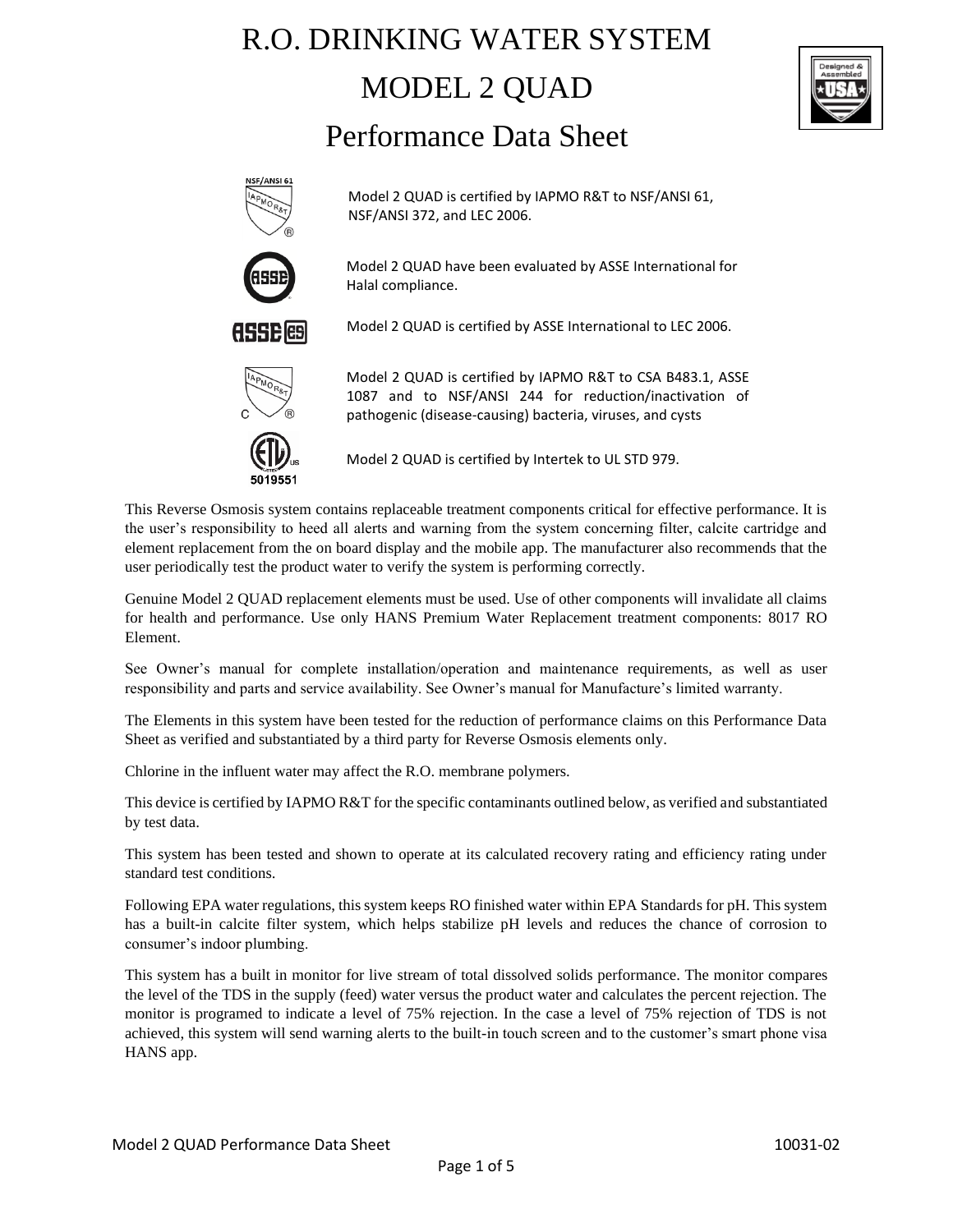# R.O. DRINKING WATER SYSTEM MODEL 2 QUAD Performance Data Sheet





Model 2 QUAD is certified by IAPMO R&T to NSF/ANSI 61, NSF/ANSI 372, and LEC 2006.



Model 2 QUAD have been evaluated by ASSE International for Halal compliance.



Model 2 QUAD is certified by ASSE International to LEC 2006.

Model 2 QUAD is certified by IAPMO R&T to CSA B483.1, ASSE 1087 and to NSF/ANSI 244 for reduction/inactivation of pathogenic (disease-causing) bacteria, viruses, and cysts



Model 2 QUAD is certified by Intertek to UL STD 979.

This Reverse Osmosis system contains replaceable treatment components critical for effective performance. It is the user's responsibility to heed all alerts and warning from the system concerning filter, calcite cartridge and element replacement from the on board display and the mobile app. The manufacturer also recommends that the user periodically test the product water to verify the system is performing correctly.

Genuine Model 2 QUAD replacement elements must be used. Use of other components will invalidate all claims for health and performance. Use only HANS Premium Water Replacement treatment components: 8017 RO Element.

See Owner's manual for complete installation/operation and maintenance requirements, as well as user responsibility and parts and service availability. See Owner's manual for Manufacture's limited warranty.

The Elements in this system have been tested for the reduction of performance claims on this Performance Data Sheet as verified and substantiated by a third party for Reverse Osmosis elements only.

Chlorine in the influent water may affect the R.O. membrane polymers.

This device is certified by IAPMO R&T for the specific contaminants outlined below, as verified and substantiated by test data.

This system has been tested and shown to operate at its calculated recovery rating and efficiency rating under standard test conditions.

Following EPA water regulations, this system keeps RO finished water within EPA Standards for pH. This system has a built-in calcite filter system, which helps stabilize pH levels and reduces the chance of corrosion to consumer's indoor plumbing.

This system has a built in monitor for live stream of total dissolved solids performance. The monitor compares the level of the TDS in the supply (feed) water versus the product water and calculates the percent rejection. The monitor is programed to indicate a level of 75% rejection. In the case a level of 75% rejection of TDS is not achieved, this system will send warning alerts to the built-in touch screen and to the customer's smart phone visa HANS app.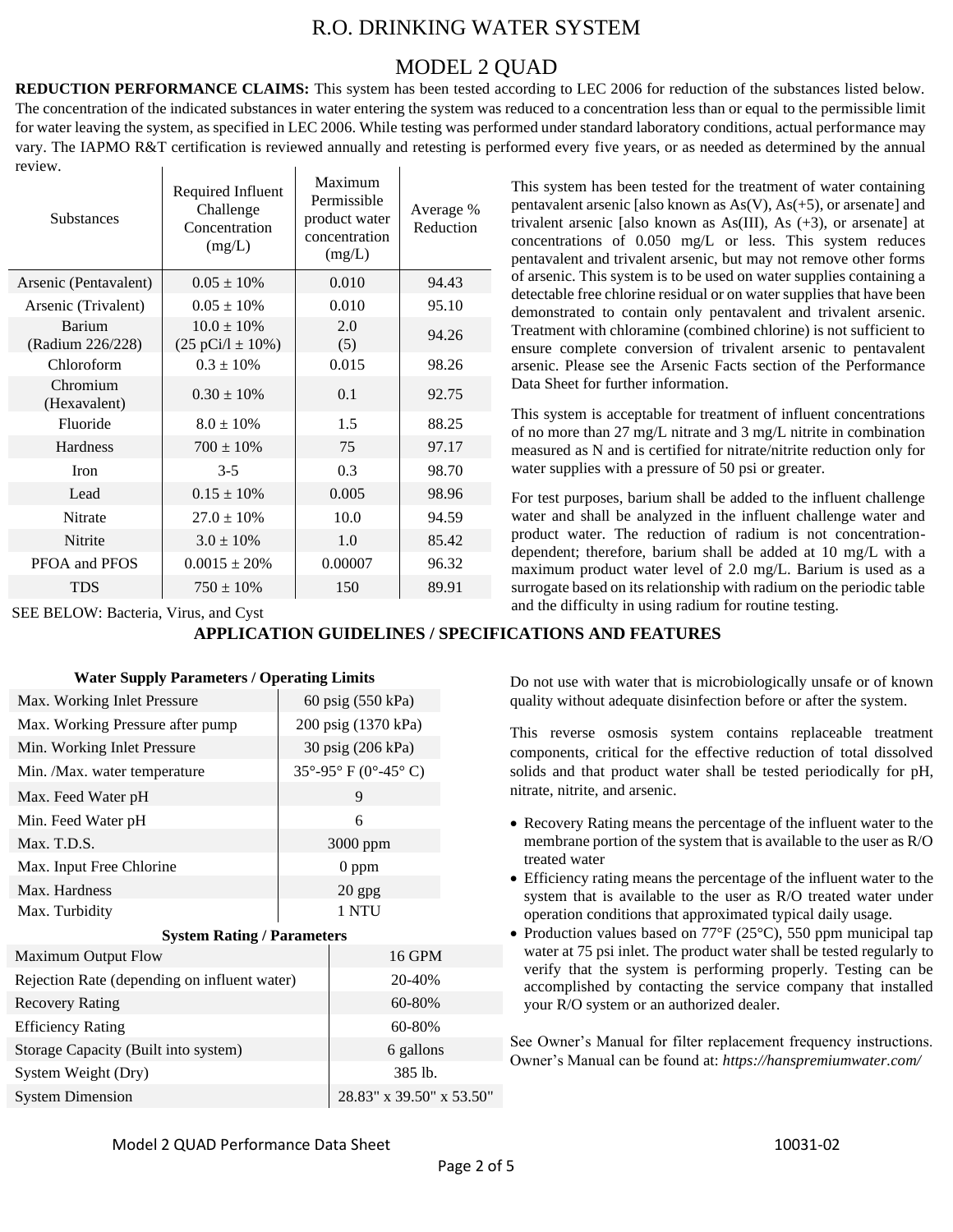## R.O. DRINKING WATER SYSTEM

### MODEL 2 QUAD

**REDUCTION PERFORMANCE CLAIMS:** This system has been tested according to LEC 2006 for reduction of the substances listed below. The concentration of the indicated substances in water entering the system was reduced to a concentration less than or equal to the permissible limit for water leaving the system, as specified in LEC 2006. While testing was performed under standard laboratory conditions, actual performance may vary. The IAPMO R&T certification is reviewed annually and retesting is performed every five years, or as needed as determined by the annual review.  $\mathbf{r}$ 

| <b>Substances</b>          | Required Influent<br>Challenge<br>Concentration<br>(mg/L) | Maximum<br>Permissible<br>product water<br>concentration<br>(mg/L) | Average %<br>Reduction |
|----------------------------|-----------------------------------------------------------|--------------------------------------------------------------------|------------------------|
| Arsenic (Pentavalent)      | $0.05 \pm 10\%$                                           | 0.010                                                              | 94.43                  |
| Arsenic (Trivalent)        | $0.05 \pm 10\%$                                           | 0.010                                                              | 95.10                  |
| Barium<br>(Radium 226/228) | $10.0 \pm 10\%$<br>$(25 \text{ pCi}/1 \pm 10\%)$          | 2.0<br>(5)                                                         | 94.26                  |
| Chloroform                 | $0.3 \pm 10\%$                                            | 0.015                                                              | 98.26                  |
| Chromium<br>(Hexavalent)   | $0.30 \pm 10\%$                                           | 0.1                                                                | 92.75                  |
| Fluoride                   | $8.0 \pm 10\%$                                            | 1.5                                                                | 88.25                  |
| Hardness                   | $700 \pm 10\%$                                            | 75                                                                 | 97.17                  |
| Iron                       | $3 - 5$                                                   | 0.3                                                                | 98.70                  |
| Lead                       | $0.15 \pm 10\%$                                           | 0.005                                                              | 98.96                  |
| Nitrate                    | $27.0 \pm 10\%$                                           | 10.0                                                               | 94.59                  |
| <b>Nitrite</b>             | $3.0 \pm 10\%$                                            | 1.0                                                                | 85.42                  |
| PFOA and PFOS              | $0.0015 \pm 20\%$                                         | 0.00007                                                            | 96.32                  |
| <b>TDS</b>                 | $750 \pm 10\%$                                            | 150                                                                | 89.91                  |

SEE BELOW: Bacteria, Virus, and Cyst

**APPLICATION GUIDELINES / SPECIFICATIONS AND FEATURES**

| Max. Working Inlet Pressure                  | 60 psig (550 kPa)    |  |  |  |
|----------------------------------------------|----------------------|--|--|--|
| Max. Working Pressure after pump             | 200 psig (1370 kPa)  |  |  |  |
| Min. Working Inlet Pressure                  | 30 psig (206 kPa)    |  |  |  |
| Min. /Max. water temperature                 | 35°-95° F (0°-45° C) |  |  |  |
| Max. Feed Water pH                           | 9                    |  |  |  |
| Min. Feed Water pH                           | 6                    |  |  |  |
| Max. T.D.S.                                  | 3000 ppm             |  |  |  |
| Max. Input Free Chlorine                     | $0$ ppm              |  |  |  |
| Max. Hardness                                | $20$ gpg             |  |  |  |
| Max. Turbidity                               | 1 NTU                |  |  |  |
| <b>System Rating / Parameters</b>            |                      |  |  |  |
| <b>Maximum Output Flow</b>                   | 16 GPM               |  |  |  |
| Rejection Rate (depending on influent water) | 20-40%               |  |  |  |
| <b>Recovery Rating</b>                       | 60-80%               |  |  |  |
| <b>Efficiency Rating</b>                     | 60-80%               |  |  |  |
| Storage Capacity (Built into system)         | 6 gallons            |  |  |  |

### **Water Supply Parameters / Operating Limits**

This system has been tested for the treatment of water containing pentavalent arsenic [also known as  $As(V)$ ,  $As(+5)$ , or arsenate] and trivalent arsenic [also known as As(III), As (+3), or arsenate] at concentrations of 0.050 mg/L or less. This system reduces pentavalent and trivalent arsenic, but may not remove other forms of arsenic. This system is to be used on water supplies containing a detectable free chlorine residual or on water supplies that have been demonstrated to contain only pentavalent and trivalent arsenic. Treatment with chloramine (combined chlorine) is not sufficient to ensure complete conversion of trivalent arsenic to pentavalent arsenic. Please see the Arsenic Facts section of the Performance Data Sheet for further information.

This system is acceptable for treatment of influent concentrations of no more than 27 mg/L nitrate and 3 mg/L nitrite in combination measured as N and is certified for nitrate/nitrite reduction only for water supplies with a pressure of 50 psi or greater.

For test purposes, barium shall be added to the influent challenge water and shall be analyzed in the influent challenge water and product water. The reduction of radium is not concentrationdependent; therefore, barium shall be added at 10 mg/L with a maximum product water level of 2.0 mg/L. Barium is used as a surrogate based on its relationship with radium on the periodic table and the difficulty in using radium for routine testing.

Do not use with water that is microbiologically unsafe or of known quality without adequate disinfection before or after the system.

This reverse osmosis system contains replaceable treatment components, critical for the effective reduction of total dissolved solids and that product water shall be tested periodically for pH, nitrate, nitrite, and arsenic.

- Recovery Rating means the percentage of the influent water to the membrane portion of the system that is available to the user as R/O treated water
- Efficiency rating means the percentage of the influent water to the system that is available to the user as R/O treated water under operation conditions that approximated typical daily usage.
- Production values based on 77°F (25°C), 550 ppm municipal tap water at 75 psi inlet. The product water shall be tested regularly to verify that the system is performing properly. Testing can be accomplished by contacting the service company that installed your R/O system or an authorized dealer.

See Owner's Manual for filter replacement frequency instructions. Owner's Manual can be found at: *<https://hanspremiumwater.com/>*

System Dimension 28.83" x 39.50" x 53.50"

System Weight (Dry) 385 lb.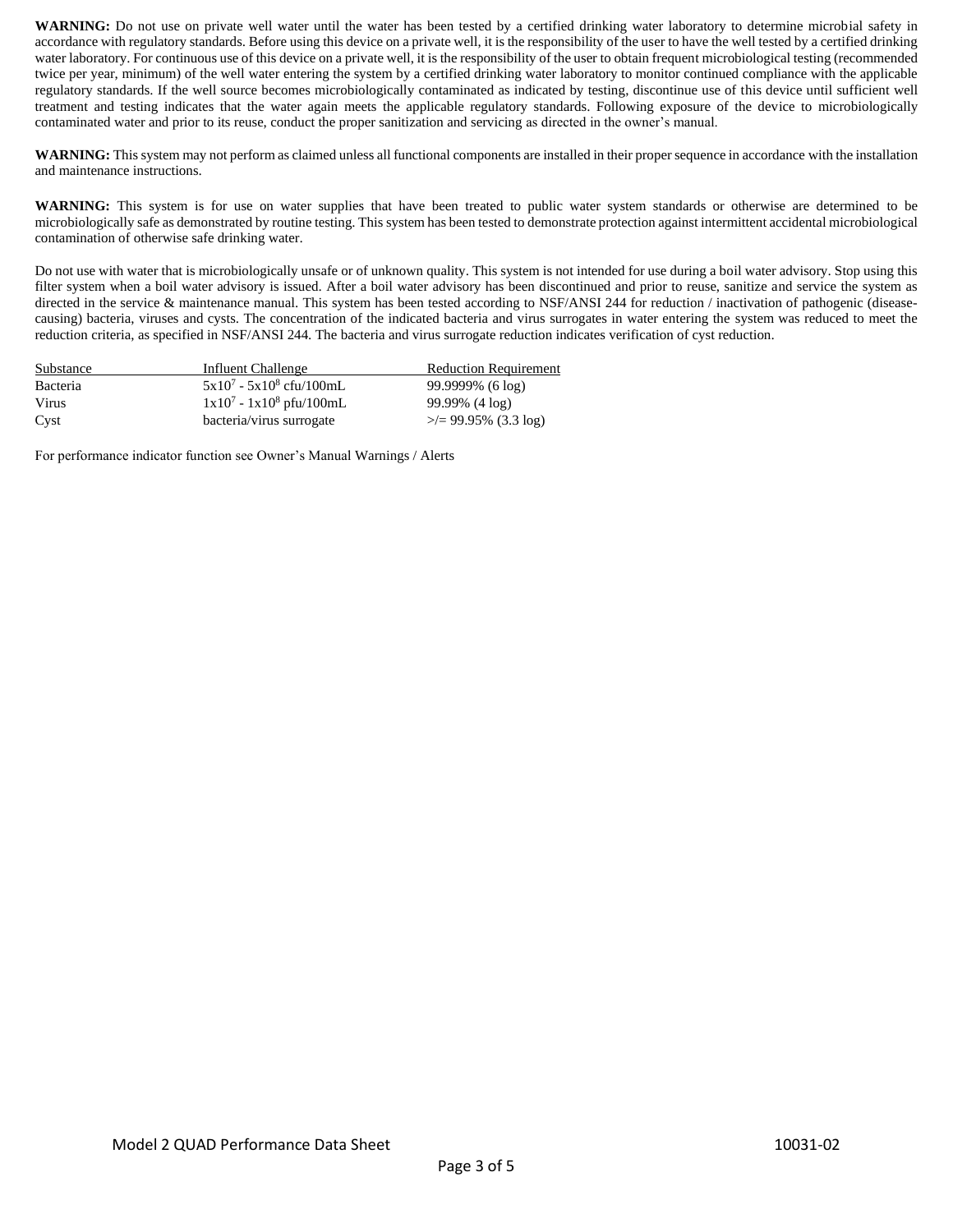WARNING: Do not use on private well water until the water has been tested by a certified drinking water laboratory to determine microbial safety in accordance with regulatory standards. Before using this device on a private well, it is the responsibility of the user to have the well tested by a certified drinking water laboratory. For continuous use of this device on a private well, it is the responsibility of the user to obtain frequent microbiological testing (recommended twice per year, minimum) of the well water entering the system by a certified drinking water laboratory to monitor continued compliance with the applicable regulatory standards. If the well source becomes microbiologically contaminated as indicated by testing, discontinue use of this device until sufficient well treatment and testing indicates that the water again meets the applicable regulatory standards. Following exposure of the device to microbiologically contaminated water and prior to its reuse, conduct the proper sanitization and servicing as directed in the owner's manual.

**WARNING:** This system may not perform as claimed unless all functional components are installed in their proper sequence in accordance with the installation and maintenance instructions.

**WARNING:** This system is for use on water supplies that have been treated to public water system standards or otherwise are determined to be microbiologically safe as demonstrated by routine testing. This system has been tested to demonstrate protection against intermittent accidental microbiological contamination of otherwise safe drinking water.

Do not use with water that is microbiologically unsafe or of unknown quality. This system is not intended for use during a boil water advisory. Stop using this filter system when a boil water advisory is issued. After a boil water advisory has been discontinued and prior to reuse, sanitize and service the system as directed in the service & maintenance manual. This system has been tested according to NSF/ANSI 244 for reduction / inactivation of pathogenic (diseasecausing) bacteria, viruses and cysts. The concentration of the indicated bacteria and virus surrogates in water entering the system was reduced to meet the reduction criteria, as specified in NSF/ANSI 244. The bacteria and virus surrogate reduction indicates verification of cyst reduction.

| Substance | Influent Challenge          | <b>Reduction Requirement</b> |
|-----------|-----------------------------|------------------------------|
| Bacteria  | $5x10^7 - 5x10^8$ cfu/100mL | $99.9999\%$ (6 log)          |
| Virus     | $1x10^7 - 1x10^8$ pfu/100mL | 99.99% (4 log)               |
| Cyst      | bacteria/virus surrogate    | $\ge$ /= 99.95% (3.3 log)    |

For performance indicator function see Owner's Manual Warnings / Alerts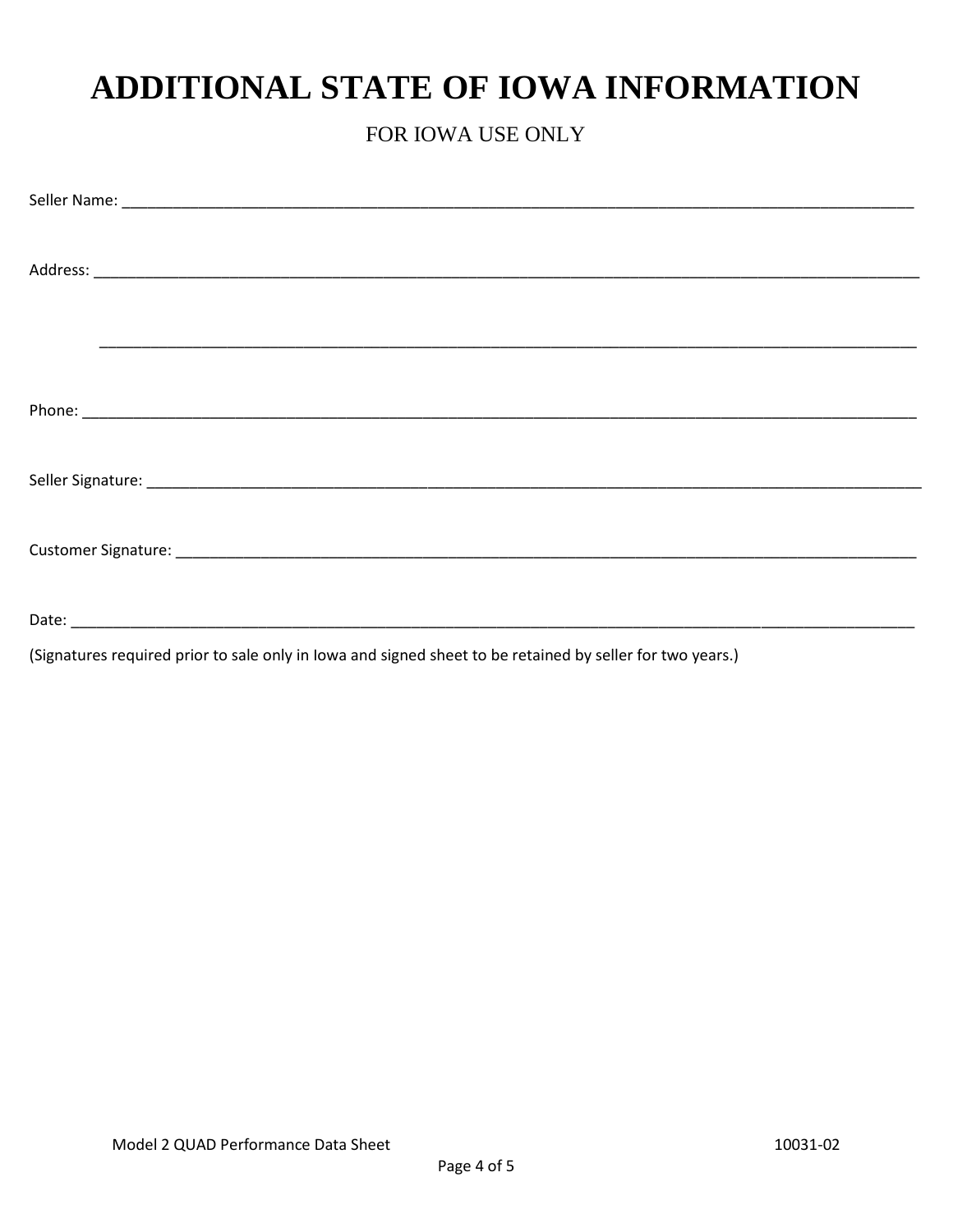# ADDITIONAL STATE OF IOWA INFORMATION

## FOR IOWA USE ONLY

(Signatures required prior to sale only in lowa and signed sheet to be retained by seller for two years.)